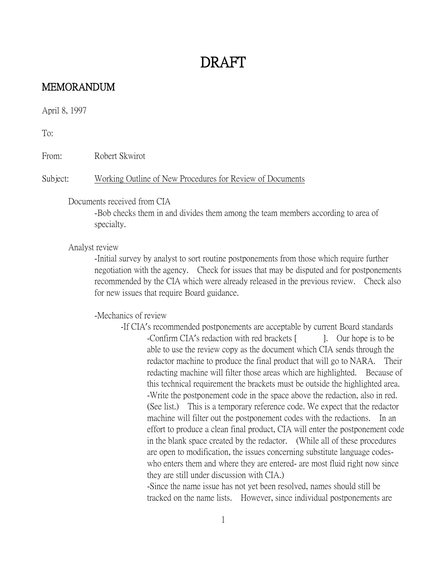#### MEMORANDUM

April 8, 1997

To:

From: Robert Skwirot

Subject: Working Outline of New Procedures for Review of Documents

#### Documents received from CIA

-Bob checks them in and divides them among the team members according to area of specialty.

Analyst review

-Initial survey by analyst to sort routine postponements from those which require further negotiation with the agency. Check for issues that may be disputed and for postponements recommended by the CIA which were already released in the previous review. Check also for new issues that require Board guidance.

-Mechanics of review

-If CIA's recommended postponements are acceptable by current Board standards -Confirm CIA's redaction with red brackets [ ]. Our hope is to be able to use the review copy as the document which CIA sends through the redactor machine to produce the final product that will go to NARA. Their redacting machine will filter those areas which are highlighted. Because of this technical requirement the brackets must be outside the highlighted area. -Write the postponement code in the space above the redaction, also in red. (See list.) This is a temporary reference code. We expect that the redactor machine will filter out the postponement codes with the redactions. In an effort to produce a clean final product, CIA will enter the postponement code in the blank space created by the redactor. (While all of these procedures are open to modification, the issues concerning substitute language codeswho enters them and where they are entered- are most fluid right now since they are still under discussion with CIA.)

-Since the name issue has not yet been resolved, names should still be tracked on the name lists. However, since individual postponements are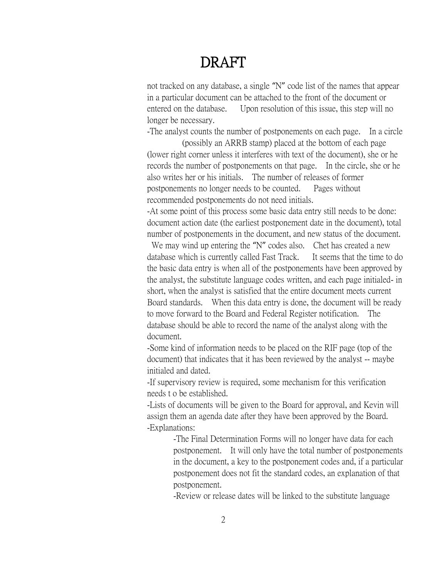not tracked on any database, a single "N" code list of the names that appear in a particular document can be attached to the front of the document or entered on the database. Upon resolution of this issue, this step will no longer be necessary.

-The analyst counts the number of postponements on each page. In a circle (possibly an ARRB stamp) placed at the bottom of each page

(lower right corner unless it interferes with text of the document), she or he records the number of postponements on that page. In the circle, she or he also writes her or his initials. The number of releases of former postponements no longer needs to be counted. Pages without recommended postponements do not need initials.

-At some point of this process some basic data entry still needs to be done: document action date (the earliest postponement date in the document), total number of postponements in the document, and new status of the document.

We may wind up entering the "N" codes also. Chet has created a new database which is currently called Fast Track. It seems that the time to do the basic data entry is when all of the postponements have been approved by the analyst, the substitute language codes written, and each page initialed- in short, when the analyst is satisfied that the entire document meets current Board standards. When this data entry is done, the document will be ready to move forward to the Board and Federal Register notification. The database should be able to record the name of the analyst along with the document.

-Some kind of information needs to be placed on the RIF page (top of the document) that indicates that it has been reviewed by the analyst -- maybe initialed and dated.

-If supervisory review is required, some mechanism for this verification needs t o be established.

-Lists of documents will be given to the Board for approval, and Kevin will assign them an agenda date after they have been approved by the Board. -Explanations:

> -The Final Determination Forms will no longer have data for each postponement. It will only have the total number of postponements in the document, a key to the postponement codes and, if a particular postponement does not fit the standard codes, an explanation of that postponement.

-Review or release dates will be linked to the substitute language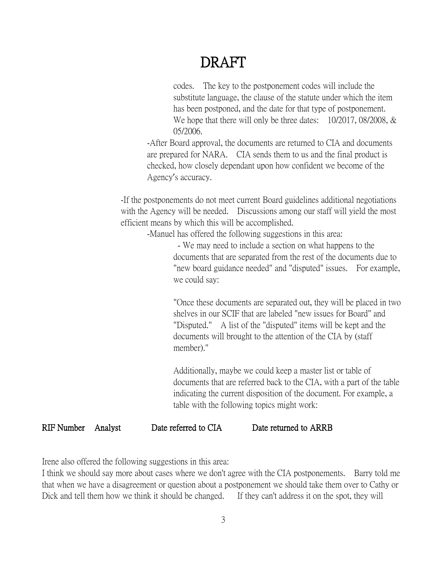codes. The key to the postponement codes will include the substitute language, the clause of the statute under which the item has been postponed, and the date for that type of postponement. We hope that there will only be three dates: 10/2017, 08/2008, & 05/2006.

-After Board approval, the documents are returned to CIA and documents are prepared for NARA. CIA sends them to us and the final product is checked, how closely dependant upon how confident we become of the Agency's accuracy.

-If the postponements do not meet current Board guidelines additional negotiations with the Agency will be needed. Discussions among our staff will yield the most efficient means by which this will be accomplished.

-Manuel has offered the following suggestions in this area:

- We may need to include a section on what happens to the documents that are separated from the rest of the documents due to "new board guidance needed" and "disputed" issues. For example, we could say:

"Once these documents are separated out, they will be placed in two shelves in our SCIF that are labeled "new issues for Board" and "Disputed." A list of the "disputed" items will be kept and the documents will brought to the attention of the CIA by (staff member)."

Additionally, maybe we could keep a master list or table of documents that are referred back to the CIA, with a part of the table indicating the current disposition of the document. For example, a table with the following topics might work:

#### RIF Number Analyst Date referred to CIA Date returned to ARRB

Irene also offered the following suggestions in this area:

I think we should say more about cases where we don't agree with the CIA postponements. Barry told me that when we have a disagreement or question about a postponement we should take them over to Cathy or Dick and tell them how we think it should be changed. If they can't address it on the spot, they will